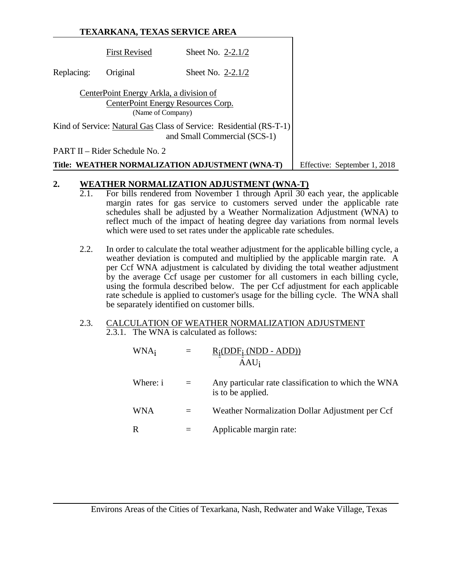|            | TEXARKANA, TEXAS SERVICE AREA                                                                      |                                                                                                     |  |
|------------|----------------------------------------------------------------------------------------------------|-----------------------------------------------------------------------------------------------------|--|
|            | <b>First Revised</b>                                                                               | Sheet No. $2-2.1/2$                                                                                 |  |
| Replacing: | Original                                                                                           | Sheet No. $2-2.1/2$                                                                                 |  |
|            | CenterPoint Energy Arkla, a division of<br>CenterPoint Energy Resources Corp.<br>(Name of Company) |                                                                                                     |  |
|            |                                                                                                    | Kind of Service: Natural Gas Class of Service: Residential (RS-T-1)<br>and Small Commercial (SCS-1) |  |
|            | PART II – Rider Schedule No. 2                                                                     |                                                                                                     |  |
|            | Title: WEATHER NORMALIZATION ADJUSTMENT (WNA-T)                                                    | Effective: September 1, 2018                                                                        |  |

## **2. WEATHER NORMALIZATION ADJUSTMENT (WNA-T)**<br>2.1. For bills rendered from November 1 through April 30 e

- 2.1. For bills rendered from November 1 through April 30 each year, the applicable margin rates for gas service to customers served under the applicable rate schedules shall be adjusted by a Weather Normalization Adjustment (WNA) to reflect much of the impact of heating degree day variations from normal levels which were used to set rates under the applicable rate schedules.
- 2.2. In order to calculate the total weather adjustment for the applicable billing cycle, a weather deviation is computed and multiplied by the applicable margin rate. A per Ccf WNA adjustment is calculated by dividing the total weather adjustment by the average Ccf usage per customer for all customers in each billing cycle, using the formula described below. The per Ccf adjustment for each applicable rate schedule is applied to customer's usage for the billing cycle. The WNA shall be separately identified on customer bills.

## 2.3. CALCULATION OF WEATHER NORMALIZATION ADJUSTMENT 2.3.1. The WNA is calculated as follows:

| WNA <sub>i</sub> |     | $R_i(DDF_i (NDD - ADD))$<br>$AAU_i$                                      |
|------------------|-----|--------------------------------------------------------------------------|
| Where: i         | $=$ | Any particular rate classification to which the WNA<br>is to be applied. |
| <b>WNA</b>       |     | Weather Normalization Dollar Adjustment per Ccf                          |
| R                |     | Applicable margin rate:                                                  |